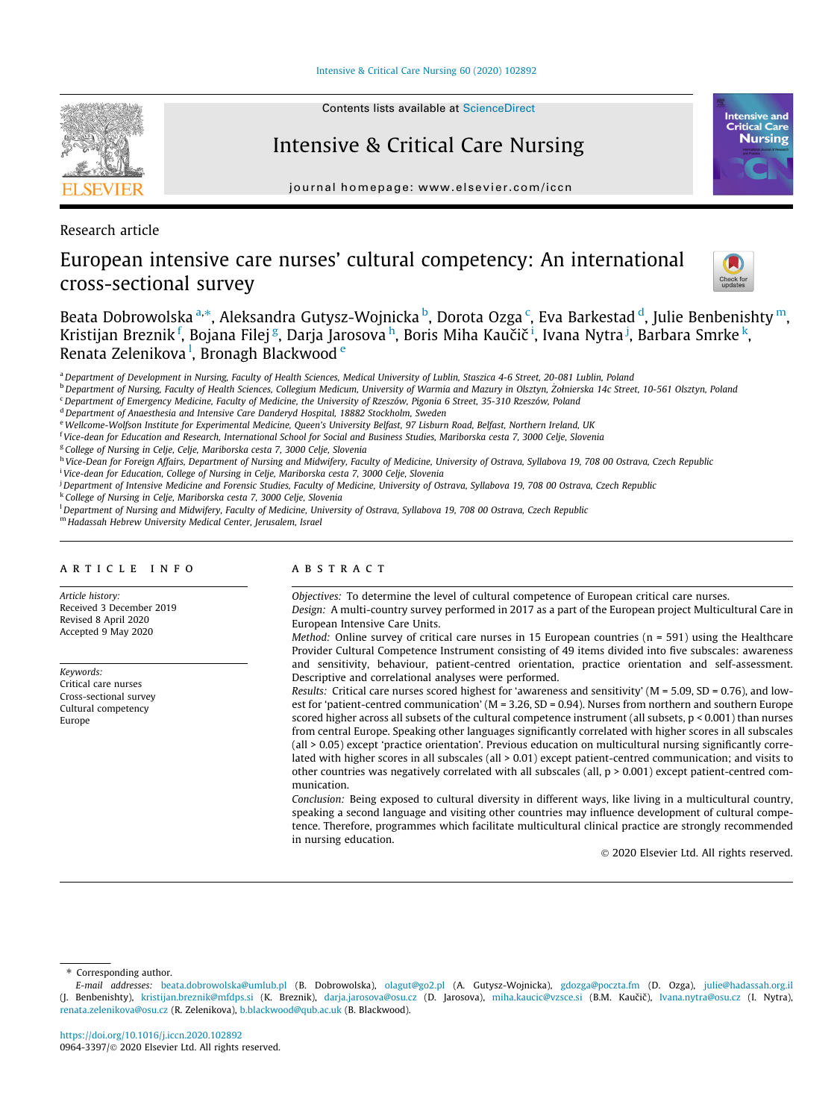[Intensive & Critical Care Nursing 60 \(2020\) 102892](https://doi.org/10.1016/j.iccn.2020.102892)



# Intensive & Critical Care Nursing

journal homepage: [www.elsevier.com/iccn](http://www.elsevier.com/iccn)

Research article

# European intensive care nurses' cultural competency: An international cross-sectional survey



**Intensive and Critical Care Nursing** 

Beata Dobrowolska <sup>a,</sup>\*, Aleksandra Gutysz-Wojnicka <sup>b</sup>, Dorota Ozga <sup>c</sup>, Eva Barkestad <sup>d</sup>, Julie Benbenishty <sup>m</sup>, Kristijan Breznik <sup>f</sup>, Bojana Filej <sup>g</sup>, Darja Jarosova <sup>h</sup>, Boris Miha Kaučič <sup>i</sup>, Ivana Nytra <sup>j</sup>, Barbara Smrke <sup>k</sup>, Renata Zelenikova <sup>I</sup>, Bronagh Blackwood <sup>e</sup>

<sup>a</sup> Department of Development in Nursing, Faculty of Health Sciences, Medical University of Lublin, Staszica 4-6 Street, 20-081 Lublin, Poland

b Department of Nursing, Faculty of Health Sciences, Collegium Medicum, University of Warmia and Mazury in Olsztyn, Żołnierska 14c Street, 10-561 Olsztyn, Poland

<sup>c</sup> Department of Emergency Medicine, Faculty of Medicine, the University of Rzeszów, Pigonia 6 Street, 35-310 Rzeszów, Poland

<sup>d</sup> Department of Anaesthesia and Intensive Care Danderyd Hospital, 18882 Stockholm, Sweden

e Wellcome-Wolfson Institute for Experimental Medicine, Queen's University Belfast, 97 Lisburn Road, Belfast, Northern Ireland, UK

<sup>f</sup> Vice-dean for Education and Research, International School for Social and Business Studies, Mariborska cesta 7, 3000 Celje, Slovenia

<sup>g</sup> College of Nursing in Celje, Celje, Mariborska cesta 7, 3000 Celje, Slovenia

<sup>h</sup> Vice-Dean for Foreign Affairs, Department of Nursing and Midwifery, Faculty of Medicine, University of Ostrava, Syllabova 19, 708 00 Ostrava, Czech Republic

<sup>i</sup> Vice-dean for Education, College of Nursing in Celje, Mariborska cesta 7, 3000 Celje, Slovenia j Department of Intensive Medicine and Forensic Studies, Faculty of Medicine, University of Ostrava, Syllabova 19, 708 00 Ostrava, Czech Republic

<sup>k</sup> College of Nursing in Celje, Mariborska cesta 7, 3000 Celje, Slovenia

l Department of Nursing and Midwifery, Faculty of Medicine, University of Ostrava, Syllabova 19, 708 00 Ostrava, Czech Republic

<sup>m</sup> Hadassah Hebrew University Medical Center, Jerusalem, Israel

# article info

Article history: Received 3 December 2019 Revised 8 April 2020 Accepted 9 May 2020

Keywords: Critical care nurses Cross-sectional survey Cultural competency Europe

# **ABSTRACT**

Objectives: To determine the level of cultural competence of European critical care nurses.

Design: A multi-country survey performed in 2017 as a part of the European project Multicultural Care in European Intensive Care Units.

Method: Online survey of critical care nurses in 15 European countries ( $n = 591$ ) using the Healthcare Provider Cultural Competence Instrument consisting of 49 items divided into five subscales: awareness and sensitivity, behaviour, patient-centred orientation, practice orientation and self-assessment. Descriptive and correlational analyses were performed.

Results: Critical care nurses scored highest for 'awareness and sensitivity' (M = 5.09, SD = 0.76), and lowest for 'patient-centred communication' (M = 3.26, SD = 0.94). Nurses from northern and southern Europe scored higher across all subsets of the cultural competence instrument (all subsets, p < 0.001) than nurses from central Europe. Speaking other languages significantly correlated with higher scores in all subscales (all > 0.05) except 'practice orientation'. Previous education on multicultural nursing significantly correlated with higher scores in all subscales (all  $> 0.01$ ) except patient-centred communication; and visits to other countries was negatively correlated with all subscales (all,  $p > 0.001$ ) except patient-centred communication.

Conclusion: Being exposed to cultural diversity in different ways, like living in a multicultural country, speaking a second language and visiting other countries may influence development of cultural competence. Therefore, programmes which facilitate multicultural clinical practice are strongly recommended in nursing education.

2020 Elsevier Ltd. All rights reserved.

⇑ Corresponding author.

E-mail addresses: [beata.dobrowolska@umlub.pl](mailto:beata.dobrowolska@umlub.pl) (B. Dobrowolska), [olagut@go2.pl](mailto:olagut@go2.pl) (A. Gutysz-Wojnicka), [gdozga@poczta.fm](mailto:gdozga@poczta.fm) (D. Ozga), [julie@hadassah.org.il](mailto:julie@hadassah.org.il) (J. Benbenishty), [kristijan.breznik@mfdps.si](mailto:kristijan.breznik@mfdps.si) (K. Breznik), [darja.jarosova@osu.cz](mailto:darja.jarosova@osu.cz) (D. Jarosova), [miha.kaucic@vzsce.si](mailto:miha.kaucic@vzsce.si) (B.M. Kaučič), [Ivana.nytra@osu.cz](mailto:Ivana.nytra@osu.cz) (I. Nytra), [renata.zelenikova@osu.cz](mailto:renata.zelenikova@osu.cz) (R. Zelenikova), [b.blackwood@qub.ac.uk](mailto:b.blackwood@qub.ac.uk) (B. Blackwood).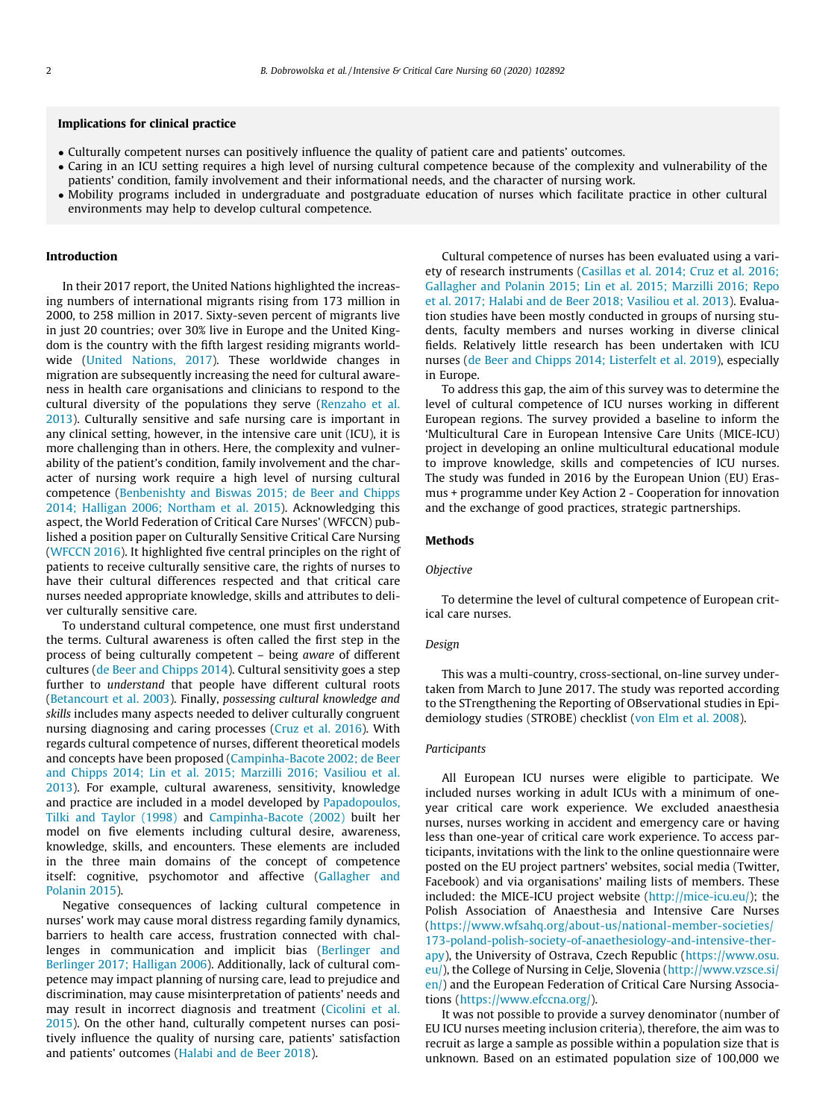# Implications for clinical practice

- Culturally competent nurses can positively influence the quality of patient care and patients' outcomes.
- Caring in an ICU setting requires a high level of nursing cultural competence because of the complexity and vulnerability of the patients' condition, family involvement and their informational needs, and the character of nursing work.
- Mobility programs included in undergraduate and postgraduate education of nurses which facilitate practice in other cultural environments may help to develop cultural competence.

#### Introduction

In their 2017 report, the United Nations highlighted the increasing numbers of international migrants rising from 173 million in 2000, to 258 million in 2017. Sixty-seven percent of migrants live in just 20 countries; over 30% live in Europe and the United Kingdom is the country with the fifth largest residing migrants worldwide [\(United Nations, 2017\)](#page-7-0). These worldwide changes in migration are subsequently increasing the need for cultural awareness in health care organisations and clinicians to respond to the cultural diversity of the populations they serve ([Renzaho et al.](#page-7-0) [2013\)](#page-7-0). Culturally sensitive and safe nursing care is important in any clinical setting, however, in the intensive care unit (ICU), it is more challenging than in others. Here, the complexity and vulnerability of the patient's condition, family involvement and the character of nursing work require a high level of nursing cultural competence ([Benbenishty and Biswas 2015; de Beer and Chipps](#page-6-0) [2014; Halligan 2006; Northam et al. 2015](#page-6-0)). Acknowledging this aspect, the World Federation of Critical Care Nurses' (WFCCN) published a position paper on Culturally Sensitive Critical Care Nursing ([WFCCN 2016\)](#page-7-0). It highlighted five central principles on the right of patients to receive culturally sensitive care, the rights of nurses to have their cultural differences respected and that critical care nurses needed appropriate knowledge, skills and attributes to deliver culturally sensitive care.

To understand cultural competence, one must first understand the terms. Cultural awareness is often called the first step in the process of being culturally competent – being aware of different cultures [\(de Beer and Chipps 2014\)](#page-6-0). Cultural sensitivity goes a step further to understand that people have different cultural roots ([Betancourt et al. 2003](#page-6-0)). Finally, possessing cultural knowledge and skills includes many aspects needed to deliver culturally congruent nursing diagnosing and caring processes ([Cruz et al. 2016\)](#page-6-0). With regards cultural competence of nurses, different theoretical models and concepts have been proposed ([Campinha-Bacote 2002; de Beer](#page-6-0) [and Chipps 2014; Lin et al. 2015; Marzilli 2016; Vasiliou et al.](#page-6-0) [2013\)](#page-6-0). For example, cultural awareness, sensitivity, knowledge and practice are included in a model developed by [Papadopoulos,](#page-7-0) [Tilki and Taylor \(1998\)](#page-7-0) and [Campinha-Bacote \(2002\)](#page-6-0) built her model on five elements including cultural desire, awareness, knowledge, skills, and encounters. These elements are included in the three main domains of the concept of competence itself: cognitive, psychomotor and affective [\(Gallagher and](#page-7-0) [Polanin 2015\)](#page-7-0).

Negative consequences of lacking cultural competence in nurses' work may cause moral distress regarding family dynamics, barriers to health care access, frustration connected with challenges in communication and implicit bias [\(Berlinger and](#page-6-0) [Berlinger 2017; Halligan 2006\)](#page-6-0). Additionally, lack of cultural competence may impact planning of nursing care, lead to prejudice and discrimination, may cause misinterpretation of patients' needs and may result in incorrect diagnosis and treatment [\(Cicolini et al.](#page-6-0) [2015\)](#page-6-0). On the other hand, culturally competent nurses can positively influence the quality of nursing care, patients' satisfaction and patients' outcomes ([Halabi and de Beer 2018\)](#page-7-0).

Cultural competence of nurses has been evaluated using a variety of research instruments ([Casillas et al. 2014; Cruz et al. 2016;](#page-6-0) [Gallagher and Polanin 2015; Lin et al. 2015; Marzilli 2016; Repo](#page-6-0) [et al. 2017; Halabi and de Beer 2018; Vasiliou et al. 2013](#page-6-0)). Evaluation studies have been mostly conducted in groups of nursing students, faculty members and nurses working in diverse clinical fields. Relatively little research has been undertaken with ICU nurses [\(de Beer and Chipps 2014; Listerfelt et al. 2019](#page-6-0)), especially in Europe.

To address this gap, the aim of this survey was to determine the level of cultural competence of ICU nurses working in different European regions. The survey provided a baseline to inform the 'Multicultural Care in European Intensive Care Units (MICE-ICU) project in developing an online multicultural educational module to improve knowledge, skills and competencies of ICU nurses. The study was funded in 2016 by the European Union (EU) Erasmus + programme under Key Action 2 - Cooperation for innovation and the exchange of good practices, strategic partnerships.

# Methods

# Objective

To determine the level of cultural competence of European critical care nurses.

## Design

This was a multi-country, cross-sectional, on-line survey undertaken from March to June 2017. The study was reported according to the STrengthening the Reporting of OBservational studies in Epidemiology studies (STROBE) checklist [\(von Elm et al. 2008\)](#page-7-0).

# Participants

All European ICU nurses were eligible to participate. We included nurses working in adult ICUs with a minimum of oneyear critical care work experience. We excluded anaesthesia nurses, nurses working in accident and emergency care or having less than one-year of critical care work experience. To access participants, invitations with the link to the online questionnaire were posted on the EU project partners' websites, social media (Twitter, Facebook) and via organisations' mailing lists of members. These included: the MICE-ICU project website [\(http://mice-icu.eu/\)](http://mice-icu.eu/); the Polish Association of Anaesthesia and Intensive Care Nurses ([https://www.wfsahq.org/about-us/national-member-societies/](https://www.wfsahq.org/about-us/national-member-societies/173-poland-polish-society-of-anaethesiology-and-intensive-therapy) [173-poland-polish-society-of-anaethesiology-and-intensive-ther](https://www.wfsahq.org/about-us/national-member-societies/173-poland-polish-society-of-anaethesiology-and-intensive-therapy)[apy](https://www.wfsahq.org/about-us/national-member-societies/173-poland-polish-society-of-anaethesiology-and-intensive-therapy)), the University of Ostrava, Czech Republic [\(https://www.osu.](https://www.osu.eu/) [eu/\)](https://www.osu.eu/), the College of Nursing in Celje, Slovenia ([http://www.vzsce.si/](http://www.vzsce.si/en/) [en/\)](http://www.vzsce.si/en/) and the European Federation of Critical Care Nursing Associations [\(https://www.efccna.org/](https://www.efccna.org/)).

It was not possible to provide a survey denominator (number of EU ICU nurses meeting inclusion criteria), therefore, the aim was to recruit as large a sample as possible within a population size that is unknown. Based on an estimated population size of 100,000 we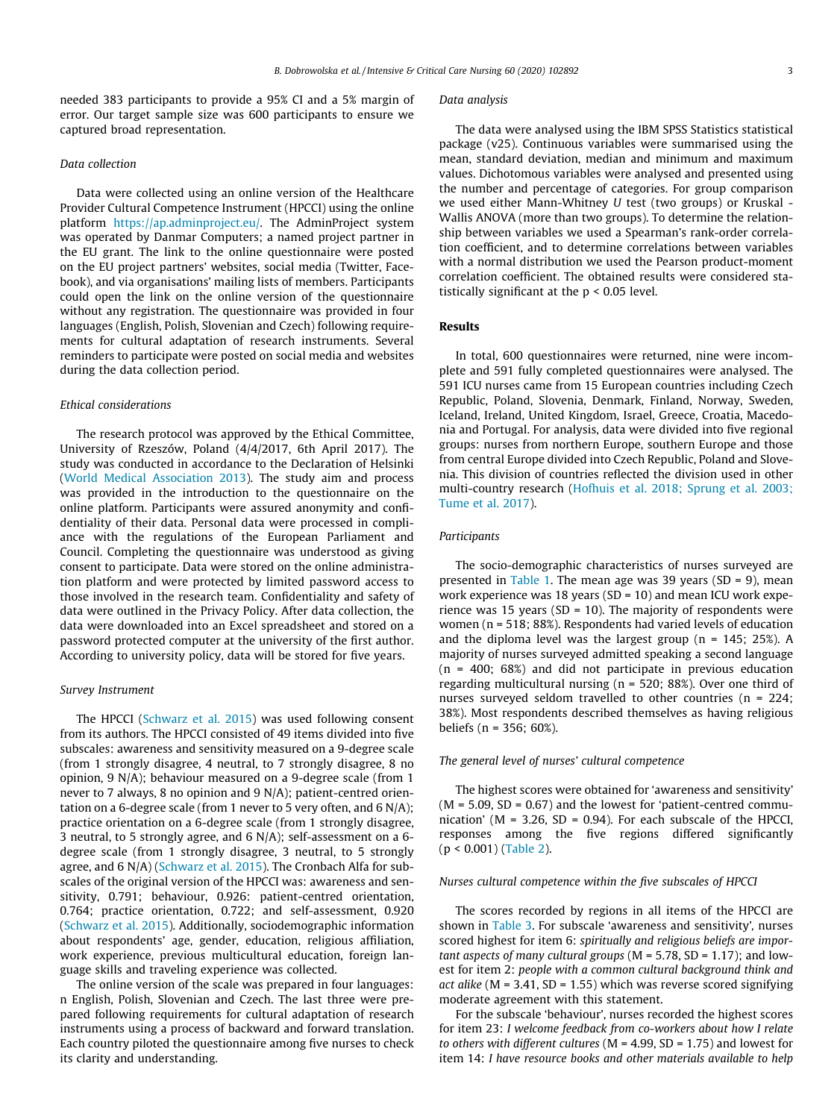needed 383 participants to provide a 95% CI and a 5% margin of error. Our target sample size was 600 participants to ensure we captured broad representation.

## Data collection

Data were collected using an online version of the Healthcare Provider Cultural Competence Instrument (HPCCI) using the online platform <https://ap.adminproject.eu/>. The AdminProject system was operated by Danmar Computers; a named project partner in the EU grant. The link to the online questionnaire were posted on the EU project partners' websites, social media (Twitter, Facebook), and via organisations' mailing lists of members. Participants could open the link on the online version of the questionnaire without any registration. The questionnaire was provided in four languages (English, Polish, Slovenian and Czech) following requirements for cultural adaptation of research instruments. Several reminders to participate were posted on social media and websites during the data collection period.

# Ethical considerations

The research protocol was approved by the Ethical Committee, University of Rzeszów, Poland (4/4/2017, 6th April 2017). The study was conducted in accordance to the Declaration of Helsinki ([World Medical Association 2013\)](#page-7-0). The study aim and process was provided in the introduction to the questionnaire on the online platform. Participants were assured anonymity and confidentiality of their data. Personal data were processed in compliance with the regulations of the European Parliament and Council. Completing the questionnaire was understood as giving consent to participate. Data were stored on the online administration platform and were protected by limited password access to those involved in the research team. Confidentiality and safety of data were outlined in the Privacy Policy. After data collection, the data were downloaded into an Excel spreadsheet and stored on a password protected computer at the university of the first author. According to university policy, data will be stored for five years.

# Survey Instrument

The HPCCI [\(Schwarz et al. 2015\)](#page-7-0) was used following consent from its authors. The HPCCI consisted of 49 items divided into five subscales: awareness and sensitivity measured on a 9-degree scale (from 1 strongly disagree, 4 neutral, to 7 strongly disagree, 8 no opinion, 9 N/A); behaviour measured on a 9-degree scale (from 1 never to 7 always, 8 no opinion and 9 N/A); patient-centred orientation on a 6-degree scale (from 1 never to 5 very often, and 6 N/A); practice orientation on a 6-degree scale (from 1 strongly disagree, 3 neutral, to 5 strongly agree, and 6 N/A); self-assessment on a 6 degree scale (from 1 strongly disagree, 3 neutral, to 5 strongly agree, and 6 N/A) ([Schwarz et al. 2015](#page-7-0)). The Cronbach Alfa for subscales of the original version of the HPCCI was: awareness and sensitivity, 0.791; behaviour, 0.926: patient-centred orientation, 0.764; practice orientation, 0.722; and self-assessment, 0.920 ([Schwarz et al. 2015\)](#page-7-0). Additionally, sociodemographic information about respondents' age, gender, education, religious affiliation, work experience, previous multicultural education, foreign language skills and traveling experience was collected.

The online version of the scale was prepared in four languages: n English, Polish, Slovenian and Czech. The last three were prepared following requirements for cultural adaptation of research instruments using a process of backward and forward translation. Each country piloted the questionnaire among five nurses to check its clarity and understanding.

#### Data analysis

The data were analysed using the IBM SPSS Statistics statistical package (v25). Continuous variables were summarised using the mean, standard deviation, median and minimum and maximum values. Dichotomous variables were analysed and presented using the number and percentage of categories. For group comparison we used either Mann-Whitney U test (two groups) or Kruskal - Wallis ANOVA (more than two groups). To determine the relationship between variables we used a Spearman's rank-order correlation coefficient, and to determine correlations between variables with a normal distribution we used the Pearson product-moment correlation coefficient. The obtained results were considered statistically significant at the p < 0.05 level.

# Results

In total, 600 questionnaires were returned, nine were incomplete and 591 fully completed questionnaires were analysed. The 591 ICU nurses came from 15 European countries including Czech Republic, Poland, Slovenia, Denmark, Finland, Norway, Sweden, Iceland, Ireland, United Kingdom, Israel, Greece, Croatia, Macedonia and Portugal. For analysis, data were divided into five regional groups: nurses from northern Europe, southern Europe and those from central Europe divided into Czech Republic, Poland and Slovenia. This division of countries reflected the division used in other multi-country research [\(Hofhuis et al. 2018; Sprung et al. 2003;](#page-7-0) [Tume et al. 2017\)](#page-7-0).

#### Participants

The socio-demographic characteristics of nurses surveyed are presented in [Table 1](#page-3-0). The mean age was 39 years ( $SD = 9$ ), mean work experience was 18 years (SD = 10) and mean ICU work experience was 15 years (SD = 10). The majority of respondents were women (n = 518; 88%). Respondents had varied levels of education and the diploma level was the largest group ( $n = 145$ ; 25%). A majority of nurses surveyed admitted speaking a second language (n = 400; 68%) and did not participate in previous education regarding multicultural nursing (n = 520; 88%). Over one third of nurses surveyed seldom travelled to other countries (n = 224; 38%). Most respondents described themselves as having religious beliefs (n = 356; 60%).

# The general level of nurses' cultural competence

The highest scores were obtained for 'awareness and sensitivity'  $(M = 5.09, SD = 0.67)$  and the lowest for 'patient-centred communication' ( $M = 3.26$ ,  $SD = 0.94$ ). For each subscale of the HPCCI, responses among the five regions differed significantly (p < 0.001) ([Table 2](#page-3-0)).

## Nurses cultural competence within the five subscales of HPCCI

The scores recorded by regions in all items of the HPCCI are shown in [Table 3](#page-4-0). For subscale 'awareness and sensitivity', nurses scored highest for item 6: spiritually and religious beliefs are important aspects of many cultural groups ( $M = 5.78$ , SD = 1.17); and lowest for item 2: people with a common cultural background think and act alike ( $M = 3.41$ ,  $SD = 1.55$ ) which was reverse scored signifying moderate agreement with this statement.

For the subscale 'behaviour', nurses recorded the highest scores for item 23: I welcome feedback from co-workers about how I relate to others with different cultures ( $M = 4.99$ ,  $SD = 1.75$ ) and lowest for item 14: I have resource books and other materials available to help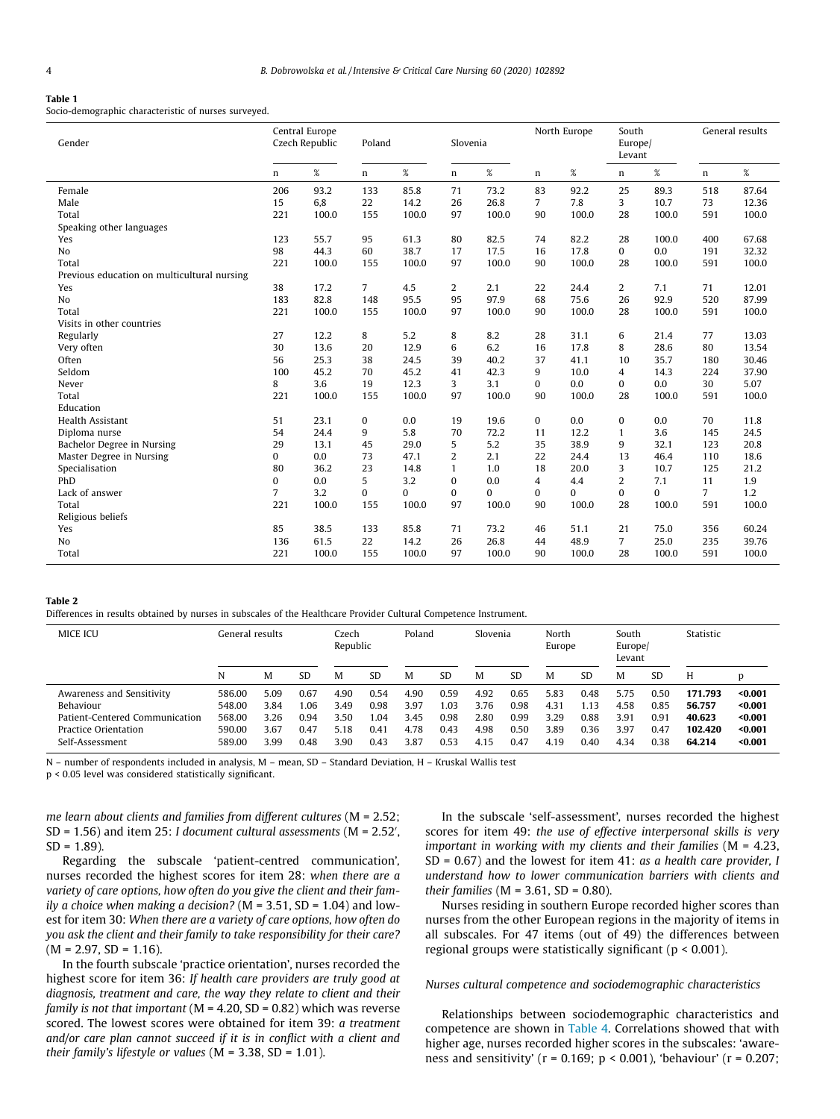#### <span id="page-3-0"></span>Table 1

Socio-demographic characteristic of nurses surveyed.

| Gender                                      |                | Central Europe<br>Czech Republic | Poland       |          | Slovenia |          |                | North Europe | South<br>Europe/<br>Levant |          |                | General results |
|---------------------------------------------|----------------|----------------------------------|--------------|----------|----------|----------|----------------|--------------|----------------------------|----------|----------------|-----------------|
|                                             | n              | $\%$                             | n            | $\%$     | n        | $\%$     | n              | $\%$         | $\mathbf n$                | $\%$     | n              | $\%$            |
| Female                                      | 206            | 93.2                             | 133          | 85.8     | 71       | 73.2     | 83             | 92.2         | 25                         | 89.3     | 518            | 87.64           |
| Male                                        | 15             | 6,8                              | 22           | 14.2     | 26       | 26.8     | $\overline{7}$ | 7.8          | 3                          | 10.7     | 73             | 12.36           |
| Total                                       | 221            | 100.0                            | 155          | 100.0    | 97       | 100.0    | 90             | 100.0        | 28                         | 100.0    | 591            | 100.0           |
| Speaking other languages                    |                |                                  |              |          |          |          |                |              |                            |          |                |                 |
| Yes                                         | 123            | 55.7                             | 95           | 61.3     | 80       | 82.5     | 74             | 82.2         | 28                         | 100.0    | 400            | 67.68           |
| No                                          | 98             | 44.3                             | 60           | 38.7     | 17       | 17.5     | 16             | 17.8         | $\mathbf{0}$               | 0.0      | 191            | 32.32           |
| Total                                       | 221            | 100.0                            | 155          | 100.0    | 97       | 100.0    | 90             | 100.0        | 28                         | 100.0    | 591            | 100.0           |
| Previous education on multicultural nursing |                |                                  |              |          |          |          |                |              |                            |          |                |                 |
| Yes                                         | 38             | 17.2                             | 7            | 4.5      | 2        | 2.1      | 22             | 24.4         | 2                          | 7.1      | 71             | 12.01           |
| N <sub>o</sub>                              | 183            | 82.8                             | 148          | 95.5     | 95       | 97.9     | 68             | 75.6         | 26                         | 92.9     | 520            | 87.99           |
| Total                                       | 221            | 100.0                            | 155          | 100.0    | 97       | 100.0    | 90             | 100.0        | 28                         | 100.0    | 591            | 100.0           |
| Visits in other countries                   |                |                                  |              |          |          |          |                |              |                            |          |                |                 |
| Regularly                                   | 27             | 12.2                             | 8            | 5.2      | 8        | 8.2      | 28             | 31.1         | 6                          | 21.4     | 77             | 13.03           |
| Very often                                  | 30             | 13.6                             | 20           | 12.9     | 6        | 6.2      | 16             | 17.8         | 8                          | 28.6     | 80             | 13.54           |
| Often                                       | 56             | 25.3                             | 38           | 24.5     | 39       | 40.2     | 37             | 41.1         | 10                         | 35.7     | 180            | 30.46           |
| Seldom                                      | 100            | 45.2                             | 70           | 45.2     | 41       | 42.3     | 9              | 10.0         | $\overline{4}$             | 14.3     | 224            | 37.90           |
| Never                                       | 8              | 3.6                              | 19           | 12.3     | 3        | 3.1      | $\mathbf{0}$   | 0.0          | $\mathbf{0}$               | 0.0      | 30             | 5.07            |
| Total                                       | 221            | 100.0                            | 155          | 100.0    | 97       | 100.0    | 90             | 100.0        | 28                         | 100.0    | 591            | 100.0           |
| Education                                   |                |                                  |              |          |          |          |                |              |                            |          |                |                 |
| <b>Health Assistant</b>                     | 51             | 23.1                             | $\mathbf{0}$ | 0.0      | 19       | 19.6     | $\mathbf{0}$   | 0.0          | $\mathbf{0}$               | 0.0      | 70             | 11.8            |
| Diploma nurse                               | 54             | 24.4                             | 9            | 5.8      | 70       | 72.2     | 11             | 12.2         | 1                          | 3.6      | 145            | 24.5            |
| Bachelor Degree in Nursing                  | 29             | 13.1                             | 45           | 29.0     | 5        | 5.2      | 35             | 38.9         | 9                          | 32.1     | 123            | 20.8            |
| Master Degree in Nursing                    | 0              | 0.0                              | 73           | 47.1     | 2        | 2.1      | 22             | 24.4         | 13                         | 46.4     | 110            | 18.6            |
| Specialisation                              | 80             | 36.2                             | 23           | 14.8     | 1        | 1.0      | 18             | 20.0         | 3                          | 10.7     | 125            | 21.2            |
| PhD                                         | 0              | 0.0                              | 5            | 3.2      | $\Omega$ | 0.0      | 4              | 4.4          | $\overline{2}$             | 7.1      | 11             | 1.9             |
| Lack of answer                              | $\overline{7}$ | 3.2                              | 0            | $\Omega$ | $\Omega$ | $\Omega$ | $\bf{0}$       | $\Omega$     | $\mathbf{0}$               | $\Omega$ | $\overline{7}$ | 1.2             |
| Total                                       | 221            | 100.0                            | 155          | 100.0    | 97       | 100.0    | 90             | 100.0        | 28                         | 100.0    | 591            | 100.0           |
| Religious beliefs                           |                |                                  |              |          |          |          |                |              |                            |          |                |                 |
| Yes                                         | 85             | 38.5                             | 133          | 85.8     | 71       | 73.2     | 46             | 51.1         | 21                         | 75.0     | 356            | 60.24           |
| N <sub>0</sub>                              | 136            | 61.5                             | 22           | 14.2     | 26       | 26.8     | 44             | 48.9         | $\overline{7}$             | 25.0     | 235            | 39.76           |
| Total                                       | 221            | 100.0                            | 155          | 100.0    | 97       | 100.0    | 90             | 100.0        | 28                         | 100.0    | 591            | 100.0           |

## Table 2

Differences in results obtained by nurses in subscales of the Healthcare Provider Cultural Competence Instrument.

| <b>MICE ICU</b>                                                                                                     | General results                                |                                      | Czech<br>Republic                    |                                      | Poland                               |                                      | Slovenia                            |                                      | North<br>Europe                      |                                      | South<br>Europe/<br>Levant           |                                      | Statistic                            |                                                  |                                                     |
|---------------------------------------------------------------------------------------------------------------------|------------------------------------------------|--------------------------------------|--------------------------------------|--------------------------------------|--------------------------------------|--------------------------------------|-------------------------------------|--------------------------------------|--------------------------------------|--------------------------------------|--------------------------------------|--------------------------------------|--------------------------------------|--------------------------------------------------|-----------------------------------------------------|
|                                                                                                                     | N                                              | M                                    | <b>SD</b>                            | M                                    | <b>SD</b>                            | M                                    | <b>SD</b>                           | M                                    | <b>SD</b>                            | M                                    | <b>SD</b>                            | M                                    | <b>SD</b>                            | H                                                |                                                     |
| Awareness and Sensitivity<br>Behaviour<br>Patient-Centered Communication<br>Practice Orientation<br>Self-Assessment | 586.00<br>548.00<br>568.00<br>590.00<br>589.00 | 5.09<br>3.84<br>3.26<br>3.67<br>3.99 | 0.67<br>1.06<br>0.94<br>0.47<br>0.48 | 4.90<br>3.49<br>3.50<br>5.18<br>3.90 | 0.54<br>0.98<br>1.04<br>0.41<br>0.43 | 4.90<br>3.97<br>3.45<br>4.78<br>3.87 | 0.59<br>.03<br>0.98<br>0.43<br>0.53 | 4.92<br>3.76<br>2.80<br>4.98<br>4.15 | 0.65<br>0.98<br>0.99<br>0.50<br>0.47 | 5.83<br>4.31<br>3.29<br>3.89<br>4.19 | 0.48<br>1.13<br>0.88<br>0.36<br>0.40 | 5.75<br>4.58<br>3.91<br>3.97<br>4.34 | 0.50<br>0.85<br>0.91<br>0.47<br>0.38 | 171.793<br>56.757<br>40.623<br>102.420<br>64.214 | $0.001$<br>$0.001$<br>$0.001$<br>$0.001$<br>$0.001$ |

N – number of respondents included in analysis, M – mean, SD – Standard Deviation, H – Kruskal Wallis test

p < 0.05 level was considered statistically significant.

me learn about clients and families from different cultures (M = 2.52; SD = 1.56) and item 25: I document cultural assessments (M = 2.52',  $SD = 1.89$ ).

Regarding the subscale 'patient-centred communication', nurses recorded the highest scores for item 28: when there are a variety of care options, how often do you give the client and their family a choice when making a decision? ( $M = 3.51$ , SD = 1.04) and lowest for item 30: When there are a variety of care options, how often do you ask the client and their family to take responsibility for their care?  $(M = 2.97, SD = 1.16)$ .

In the fourth subscale 'practice orientation', nurses recorded the highest score for item 36: If health care providers are truly good at diagnosis, treatment and care, the way they relate to client and their family is not that important ( $M = 4.20$ , SD = 0.82) which was reverse scored. The lowest scores were obtained for item 39: a treatment and/or care plan cannot succeed if it is in conflict with a client and their family's lifestyle or values ( $M = 3.38$ , SD = 1.01).

In the subscale 'self-assessment', nurses recorded the highest scores for item 49: the use of effective interpersonal skills is very important in working with my clients and their families ( $M = 4.23$ ,  $SD = 0.67$ ) and the lowest for item 41: as a health care provider, I understand how to lower communication barriers with clients and their families ( $M = 3.61$ ,  $SD = 0.80$ ).

Nurses residing in southern Europe recorded higher scores than nurses from the other European regions in the majority of items in all subscales. For 47 items (out of 49) the differences between regional groups were statistically significant ( $p < 0.001$ ).

# Nurses cultural competence and sociodemographic characteristics

Relationships between sociodemographic characteristics and competence are shown in [Table 4](#page-5-0). Correlations showed that with higher age, nurses recorded higher scores in the subscales: 'awareness and sensitivity' ( $r = 0.169$ ;  $p < 0.001$ ), 'behaviour' ( $r = 0.207$ ;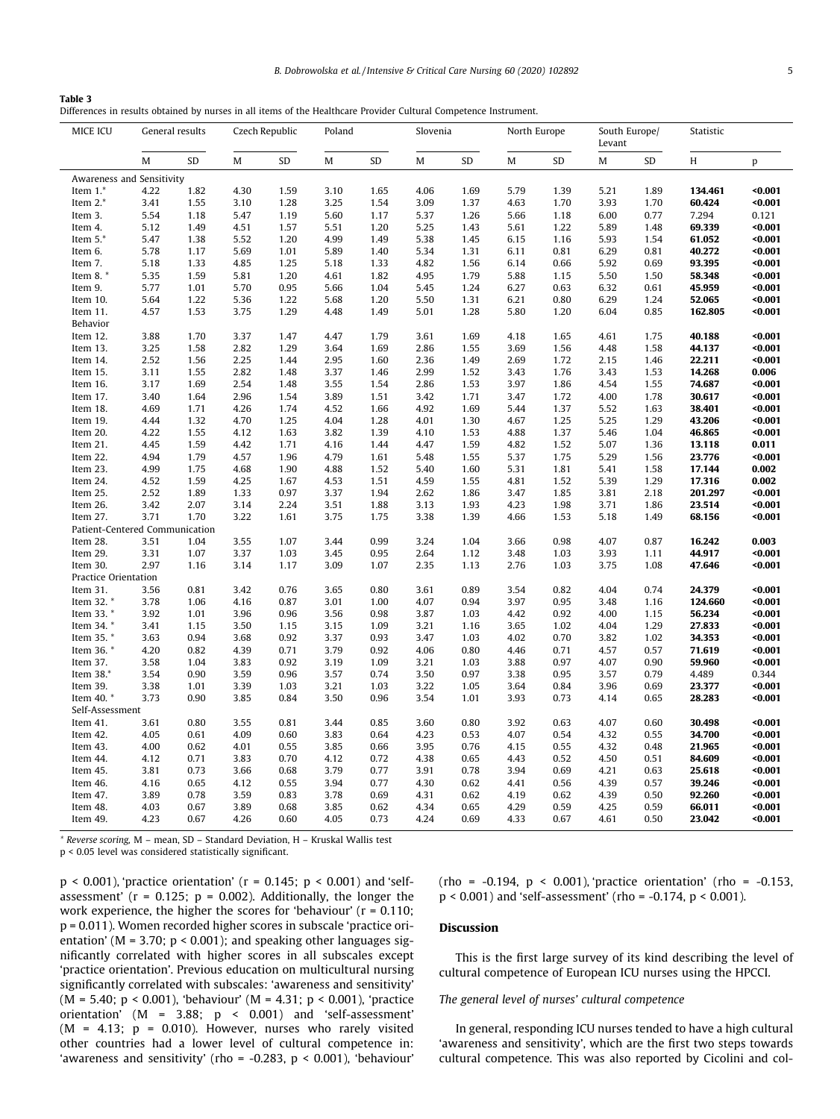<span id="page-4-0"></span>

| Table 3                                                                                                           |  |
|-------------------------------------------------------------------------------------------------------------------|--|
| Differences in results obtained by nurses in all items of the Healthcare Provider Cultural Competence Instrument. |  |

| MICE ICU                       | General results |      | Czech Republic |      | Poland       |      | Slovenia |      | North Europe |      | South Europe/<br>Levant |      | Statistic |         |
|--------------------------------|-----------------|------|----------------|------|--------------|------|----------|------|--------------|------|-------------------------|------|-----------|---------|
|                                | M               | SD   | $\mathbf M$    | SD   | M            | SD   | M        | SD   | M            | SD   | M                       | SD   | H         | p       |
| Awareness and Sensitivity      |                 |      |                |      |              |      |          |      |              |      |                         |      |           |         |
| Item $1.*$                     | 4.22            | 1.82 | 4.30           | 1.59 | 3.10         | 1.65 | 4.06     | 1.69 | 5.79         | 1.39 | 5.21                    | 1.89 | 134.461   | $0.001$ |
| Item 2.*                       | 3.41            | 1.55 | 3.10           | 1.28 | 3.25         | 1.54 | 3.09     | 1.37 | 4.63         | 1.70 | 3.93                    | 1.70 | 60.424    | $0.001$ |
| Item 3.                        | 5.54            | 1.18 | 5.47           | 1.19 | 5.60         | 1.17 | 5.37     | 1.26 | 5.66         | 1.18 | 6.00                    | 0.77 | 7.294     | 0.121   |
| Item 4.                        | 5.12            | 1.49 | 4.51           | 1.57 | 5.51         | 1.20 | 5.25     | 1.43 | 5.61         | 1.22 | 5.89                    | 1.48 | 69.339    | $0.001$ |
| Item $5.*$                     | 5.47            | 1.38 | 5.52           | 1.20 | 4.99         | 1.49 | 5.38     | 1.45 | 6.15         | 1.16 | 5.93                    | 1.54 | 61.052    | $0.001$ |
| Item 6.                        | 5.78            | 1.17 | 5.69           | 1.01 | 5.89         | 1.40 | 5.34     | 1.31 | 6.11         | 0.81 | 6.29                    | 0.81 | 40.272    | $0.001$ |
| Item 7.                        | 5.18            | 1.33 | 4.85           | 1.25 | 5.18         | 1.33 | 4.82     | 1.56 | 6.14         | 0.66 | 5.92                    | 0.69 | 93.395    | $0.001$ |
| Item 8.                        | 5.35            | 1.59 | 5.81           | 1.20 | 4.61         | 1.82 | 4.95     | 1.79 | 5.88         | 1.15 | 5.50                    | 1.50 | 58.348    | $0.001$ |
| Item 9.                        | 5.77            | 1.01 | 5.70           | 0.95 | 5.66         | 1.04 | 5.45     | 1.24 | 6.27         | 0.63 | 6.32                    | 0.61 | 45.959    | 0.001   |
| Item 10.                       | 5.64            | 1.22 | 5.36           | 1.22 | 5.68         | 1.20 | 5.50     | 1.31 | 6.21         | 0.80 | 6.29                    | 1.24 | 52.065    | $0.001$ |
| Item 11.                       | 4.57            | 1.53 | 3.75           | 1.29 | 4.48         | 1.49 | 5.01     | 1.28 | 5.80         | 1.20 | 6.04                    | 0.85 | 162.805   | 0.001   |
| Behavior                       |                 |      |                |      |              |      |          |      |              |      |                         |      |           |         |
| Item 12.                       | 3.88            | 1.70 | 3.37           | 1.47 | 4.47         | 1.79 | 3.61     | 1.69 | 4.18         | 1.65 | 4.61                    | 1.75 | 40.188    | $0.001$ |
| Item 13.                       | 3.25            | 1.58 | 2.82           | 1.29 | 3.64         | 1.69 | 2.86     | 1.55 | 3.69         | 1.56 | 4.48                    | 1.58 | 44.137    | $0.001$ |
| Item 14.                       | 2.52            | 1.56 | 2.25           | 1.44 | 2.95         | 1.60 | 2.36     | 1.49 | 2.69         | 1.72 | 2.15                    | 1.46 | 22.211    | $0.001$ |
| Item 15.                       | 3.11            | 1.55 | 2.82           | 1.48 | 3.37         | 1.46 | 2.99     | 1.52 | 3.43         | 1.76 | 3.43                    | 1.53 | 14.268    | 0.006   |
| Item 16.                       | 3.17            | 1.69 | 2.54           | 1.48 | 3.55         | 1.54 | 2.86     | 1.53 | 3.97         | 1.86 | 4.54                    | 1.55 | 74.687    | $0.001$ |
| Item 17.                       | 3.40            | 1.64 | 2.96           | 1.54 | 3.89         | 1.51 | 3.42     | 1.71 | 3.47         | 1.72 | 4.00                    | 1.78 | 30.617    | $0.001$ |
| Item 18.                       | 4.69            | 1.71 | 4.26           | 1.74 | 4.52         | 1.66 | 4.92     | 1.69 | 5.44         | 1.37 | 5.52                    | 1.63 | 38.401    | $0.001$ |
| Item 19.                       | 4.44            | 1.32 | 4.70           | 1.25 | 4.04         | 1.28 | 4.01     | 1.30 | 4.67         | 1.25 | 5.25                    | 1.29 | 43.206    | $0.001$ |
| Item 20.                       | 4.22            | 1.55 | 4.12           | 1.63 | 3.82         | 1.39 | 4.10     | 1.53 | 4.88         | 1.37 | 5.46                    | 1.04 | 46.865    | $0.001$ |
| Item 21.                       | 4.45            | 1.59 | 4.42           | 1.71 | 4.16         | 1.44 | 4.47     | 1.59 | 4.82         | 1.52 | 5.07                    | 1.36 | 13.118    | 0.011   |
| Item 22.                       | 4.94            | 1.79 | 4.57           | 1.96 | 4.79         | 1.61 | 5.48     | 1.55 | 5.37         | 1.75 | 5.29                    | 1.56 | 23.776    | $0.001$ |
| Item 23.                       | 4.99            | 1.75 | 4.68           | 1.90 | 4.88         | 1.52 | 5.40     | 1.60 | 5.31         | 1.81 | 5.41                    | 1.58 | 17.144    | 0.002   |
| Item 24.                       | 4.52            | 1.59 | 4.25           | 1.67 | 4.53         | 1.51 | 4.59     | 1.55 | 4.81         | 1.52 | 5.39                    | 1.29 | 17.316    | 0.002   |
| Item 25.                       | 2.52            | 1.89 | 1.33           | 0.97 | 3.37         | 1.94 | 2.62     | 1.86 | 3.47         | 1.85 | 3.81                    | 2.18 | 201.297   | $0.001$ |
| Item 26.                       | 3.42            | 2.07 | 3.14           | 2.24 | 3.51         | 1.88 | 3.13     | 1.93 | 4.23         | 1.98 | 3.71                    | 1.86 | 23.514    | $0.001$ |
| Item 27.                       | 3.71            | 1.70 | 3.22           | 1.61 | 3.75         | 1.75 | 3.38     | 1.39 | 4.66         | 1.53 | 5.18                    | 1.49 | 68.156    | $0.001$ |
| Patient-Centered Communication |                 |      |                |      |              |      |          |      |              |      |                         |      |           |         |
| Item 28.                       | 3.51            | 1.04 | 3.55           | 1.07 | 3.44         | 0.99 | 3.24     | 1.04 | 3.66         | 0.98 | 4.07                    | 0.87 | 16.242    | 0.003   |
| Item 29.                       | 3.31            | 1.07 | 3.37           | 1.03 | 3.45         | 0.95 | 2.64     | 1.12 | 3.48         | 1.03 | 3.93                    | 1.11 | 44.917    | $0.001$ |
| Item 30.                       | 2.97            | 1.16 | 3.14           | 1.17 | 3.09         | 1.07 | 2.35     | 1.13 | 2.76         | 1.03 | 3.75                    | 1.08 | 47.646    | $0.001$ |
| Practice Orientation           |                 |      |                |      |              |      |          |      |              |      |                         |      |           |         |
| Item 31.                       | 3.56            | 0.81 | 3.42           | 0.76 | 3.65         | 0.80 | 3.61     | 0.89 | 3.54         | 0.82 | 4.04                    | 0.74 | 24.379    | $0.001$ |
| Item 32.*                      | 3.78            | 1.06 | 4.16           | 0.87 | 3.01         | 1.00 | 4.07     | 0.94 | 3.97         | 0.95 | 3.48                    | 1.16 | 124.660   | 0.001   |
| Item 33.*                      | 3.92            | 1.01 | 3.96           | 0.96 | 3.56         | 0.98 | 3.87     | 1.03 | 4.42         | 0.92 | 4.00                    | 1.15 | 56.234    | $0.001$ |
| Item 34. *                     | 3.41            | 1.15 | 3.50           | 1.15 | 3.15         | 1.09 | 3.21     | 1.16 | 3.65         | 1.02 | 4.04                    | 1.29 | 27.833    | $0.001$ |
| Item 35.*                      | 3.63            | 0.94 | 3.68           | 0.92 | 3.37         | 0.93 | 3.47     | 1.03 | 4.02         | 0.70 | 3.82                    | 1.02 | 34.353    | $0.001$ |
| Item 36. *                     | 4.20            | 0.82 | 4.39           | 0.71 | 3.79         | 0.92 | 4.06     | 0.80 | 4.46         | 0.71 | 4.57                    | 0.57 | 71.619    | $0.001$ |
| Item 37.                       | 3.58            | 1.04 | 3.83           | 0.92 | 3.19         | 1.09 | 3.21     | 1.03 | 3.88         | 0.97 | 4.07                    | 0.90 | 59.960    | $0.001$ |
| Item 38.*                      | 3.54            | 0.90 | 3.59           | 0.96 | 3.57         | 0.74 | 3.50     | 0.97 | 3.38         | 0.95 | 3.57                    | 0.79 | 4.489     | 0.344   |
| Item 39.                       | 3.38            | 1.01 | 3.39           | 1.03 | 3.21         | 1.03 | 3.22     | 1.05 | 3.64         | 0.84 | 3.96                    | 0.69 | 23.377    | $0.001$ |
| Item 40. *                     | 3.73            | 0.90 | 3.85           | 0.84 | 3.50         | 0.96 | 3.54     | 1.01 | 3.93         | 0.73 | 4.14                    | 0.65 | 28.283    | $0.001$ |
| Self-Assessment                |                 |      |                |      |              |      |          |      |              |      |                         |      |           |         |
| Item 41.                       | 3.61            | 0.80 | 3.55           | 0.81 | 3.44         | 0.85 | 3.60     | 0.80 | 3.92         | 0.63 | 4.07                    | 0.60 | 30.498    | 0.001   |
| Item 42.                       | 4.05            | 0.61 | 4.09           | 0.60 | 3.83         | 0.64 | 4.23     | 0.53 | 4.07         | 0.54 | 4.32                    | 0.55 | 34.700    | $0.001$ |
| Item 43.                       | 4.00            | 0.62 | 4.01           | 0.55 | 3.85         | 0.66 | 3.95     | 0.76 | 4.15         | 0.55 | 4.32                    | 0.48 | 21.965    | $0.001$ |
| Item 44.                       | 4.12            | 0.71 | 3.83           | 0.70 | 4.12         | 0.72 | 4.38     | 0.65 | 4.43         | 0.52 | 4.50                    | 0.51 | 84.609    | $0.001$ |
| Item 45.                       | 3.81            | 0.73 | 3.66           | 0.68 | 3.79         | 0.77 | 3.91     | 0.78 | 3.94         | 0.69 | 4.21                    | 0.63 | 25.618    | $0.001$ |
| Item 46.                       | 4.16            | 0.65 | 4.12           | 0.55 | 3.94         | 0.77 | 4.30     | 0.62 | 4.41         | 0.56 | 4.39                    | 0.57 | 39.246    | 0.001   |
| Item 47.                       | 3.89            | 0.78 | 3.59           | 0.83 | 3.78<br>3.85 | 0.69 | 4.31     | 0.62 | 4.19         | 0.62 | 4.39                    | 0.50 | 92.260    | $0.001$ |
| Item 48.                       | 4.03            | 0.67 | 3.89           | 0.68 |              | 0.62 | 4.34     | 0.65 | 4.29         | 0.59 | 4.25                    | 0.59 | 66.011    | $0.001$ |
| Item 49.                       | 4.23            | 0.67 | 4.26           | 0.60 | 4.05         | 0.73 | 4.24     | 0.69 | 4.33         | 0.67 | 4.61                    | 0.50 | 23.042    | $0.001$ |

\* Reverse scoring, M – mean, SD – Standard Deviation, H – Kruskal Wallis test

p < 0.05 level was considered statistically significant.

 $p < 0.001$ ), 'practice orientation' ( $r = 0.145$ ;  $p < 0.001$ ) and 'selfassessment' ( $r = 0.125$ ;  $p = 0.002$ ). Additionally, the longer the work experience, the higher the scores for 'behaviour' (r = 0.110; p = 0.011). Women recorded higher scores in subscale 'practice orientation' ( $M = 3.70$ ;  $p < 0.001$ ); and speaking other languages significantly correlated with higher scores in all subscales except 'practice orientation'. Previous education on multicultural nursing significantly correlated with subscales: 'awareness and sensitivity' (M = 5.40; p < 0.001), 'behaviour' (M = 4.31; p < 0.001), 'practice orientation' (M = 3.88; p < 0.001) and 'self-assessment'  $(M = 4.13; p = 0.010)$ . However, nurses who rarely visited other countries had a lower level of cultural competence in: 'awareness and sensitivity' (rho =  $-0.283$ , p < 0.001), 'behaviour' (rho = -0.194, p < 0.001), 'practice orientation' (rho = -0.153,  $p < 0.001$ ) and 'self-assessment' (rho = -0.174,  $p < 0.001$ ).

# Discussion

This is the first large survey of its kind describing the level of cultural competence of European ICU nurses using the HPCCI.

# The general level of nurses' cultural competence

In general, responding ICU nurses tended to have a high cultural 'awareness and sensitivity', which are the first two steps towards cultural competence. This was also reported by Cicolini and col-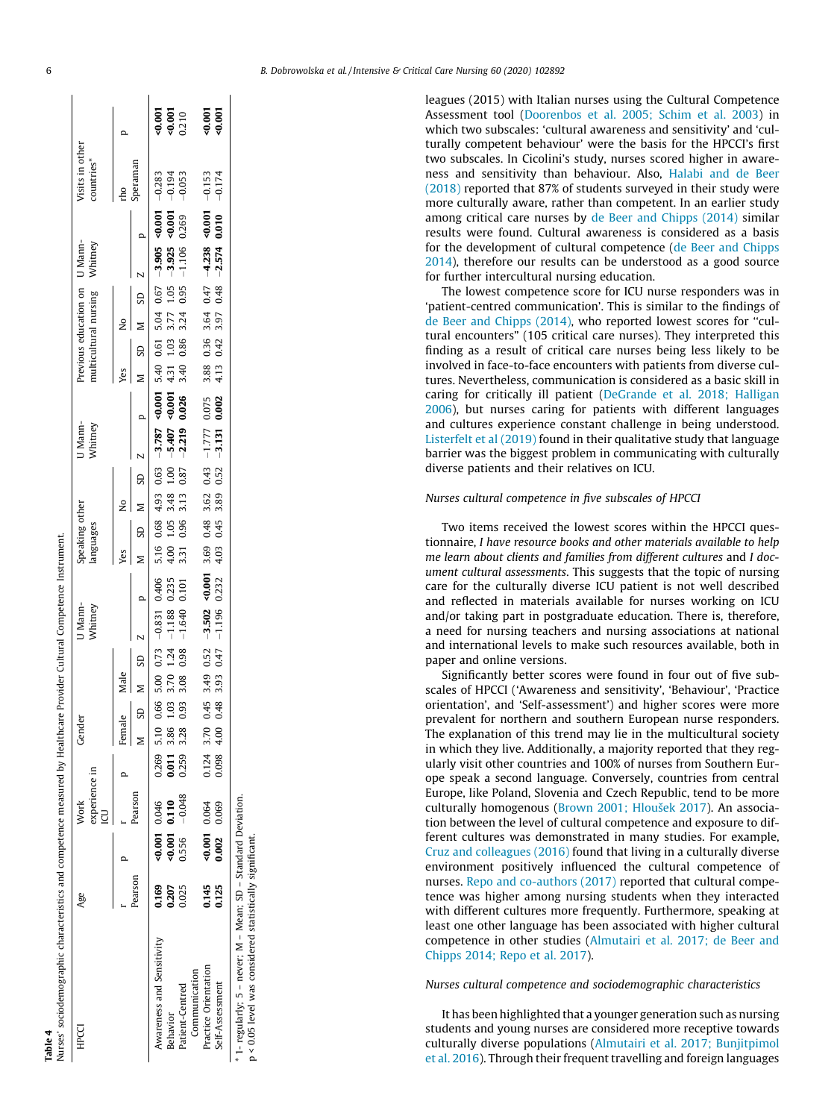<span id="page-5-0"></span>

|                                          |              |                                 |                                                                                            | $\begin{array}{c} 0.001 \\ 0.001 \\ 0.210 \end{array}$ |                                 | $\frac{6}{9}$ 001                                                         |                 |
|------------------------------------------|--------------|---------------------------------|--------------------------------------------------------------------------------------------|--------------------------------------------------------|---------------------------------|---------------------------------------------------------------------------|-----------------|
| Visits in other<br>countries*            | peraman      |                                 | $-0.283$                                                                                   | $-0.194$                                               | $-0.053$                        | $-0.153$                                                                  | $-0.174$        |
|                                          |              |                                 |                                                                                            |                                                        | 0.269                           |                                                                           |                 |
| Previous education on U Mann-<br>Whitney |              |                                 |                                                                                            | $-3.925$ <0.001                                        | $-1.106$                        | 3.88 0.36 3.64 0.47 $-4.238$ 40.001<br>4.13 0.42 3.97 0.48 $-2.574$ 0.010 |                 |
|                                          |              | SD M SD                         |                                                                                            | 1.05                                                   | 3.24 0.95                       |                                                                           |                 |
| multicultural nursing                    |              |                                 |                                                                                            |                                                        |                                 |                                                                           |                 |
|                                          |              |                                 |                                                                                            |                                                        | 3.40 0.86                       |                                                                           |                 |
|                                          | (es          |                                 |                                                                                            |                                                        |                                 |                                                                           |                 |
|                                          |              |                                 |                                                                                            | $-0.001$ 4.31 1.03 3.77                                | 0.026                           |                                                                           | 0.002           |
| J Mann-<br>Whitney                       |              |                                 | $5.16$ $0.68$ $4.93$ $0.63$ $-3.787$ $40.001$ $5.40$ $0.61$ $5.04$ $0.67$ $-3.905$ $40.01$ | $1.00 - 5.407$                                         | $3.13$ $0.87$ $-2.219$          | $3.69$ 0.48 3.62 0.43 -1.777 0.075                                        | $-3.131$        |
|                                          |              | $\overline{3}$                  |                                                                                            |                                                        |                                 |                                                                           | 0.52            |
|                                          | ş            |                                 |                                                                                            | 4.00 1.05 3.48                                         |                                 |                                                                           | 3.89            |
| Speaking other<br>languages              |              | ສ                               |                                                                                            |                                                        | 3.31 0.96                       |                                                                           | 0.45            |
|                                          | Yes          |                                 |                                                                                            |                                                        |                                 |                                                                           | 4.03            |
|                                          | $\mathbf{r}$ | $0.66$ 5.00 0.73 $-0.831$ 0.406 | 0.235                                                                                      | 0.101                                                  | $-0.001$                        | 0.232                                                                     |                 |
| J Mann-<br>Mhitney                       |              |                                 |                                                                                            | $-1.188$                                               | $-1.640$                        | $0.45$ 3.49 $0.52$ -3.502                                                 | $-1.196$        |
|                                          |              | SD M SD                         |                                                                                            | 1.24                                                   | 3.08 0.98                       |                                                                           | 0.47            |
|                                          | Male         |                                 |                                                                                            | 3.70                                                   |                                 |                                                                           | 3.93            |
|                                          |              |                                 |                                                                                            | 1.03                                                   | 0.93                            |                                                                           | 0.48            |
| Gende                                    | Female       |                                 | 5.10                                                                                       | 0.011 3.86                                             | 3.28                            | 0.124 3.70<br>0.098 4.00                                                  |                 |
|                                          |              |                                 | 0.269                                                                                      |                                                        | 0.259                           |                                                                           |                 |
| experience in<br>Work                    |              | earson                          |                                                                                            |                                                        | $-0.048$                        |                                                                           |                 |
|                                          |              |                                 | 0.001 0.046                                                                                | $0.001$ $0.110$                                        | 0.556                           | $-40.001$ 0.064<br>0.002 0.069                                            |                 |
| Age                                      |              | earson                          | 0.169                                                                                      | 0.207                                                  | 0.025                           | 0.145<br>0.125                                                            |                 |
| HPCCI                                    |              |                                 | Awareness and Sensitivity                                                                  | <b>Sehavior</b>                                        | Communication<br>atient-Centred | Practice Orientation                                                      | self-Assessment |

M - Mean; SD - Standard Deviation. \* 1- regularly; 5 – never; M – Mean; SD – Standard Deviation. regularly; 5 - never;

p < 0.05 level was considered statistically significant p < 0.05 level was considered statistically significant.

ness and sensitivity than behaviour. Also, [Halabi and de Beer](#page-7-0) [\(2018\)](#page-7-0) reported that 87% of students surveyed in their study were more culturally aware, rather than competent. In an earlier study among critical care nurses by [de Beer and Chipps \(2014\)](#page-6-0) similar results were found. Cultural awareness is considered as a basis for the development of cultural competence ([de Beer and Chipps](#page-6-0) [2014\)](#page-6-0), therefore our results can be understood as a good source for further intercultural nursing education. The lowest competence score for ICU nurse responders was in 'patient-centred communication'. This is similar to the findings of [de Beer and Chipps \(2014\)](#page-6-0), who reported lowest scores for ''cultural encounters" (105 critical care nurses). They interpreted this finding as a result of critical care nurses being less likely to be involved in face-to-face encounters with patients from diverse cultures. Nevertheless, communication is considered as a basic skill in caring for critically ill patient [\(DeGrande et al. 2018; Halligan](#page-6-0) [2006\)](#page-6-0), but nurses caring for patients with different languages and cultures experience constant challenge in being understood. [Listerfelt et al \(2019\)](#page-7-0) found in their qualitative study that language barrier was the biggest problem in communicating with culturally diverse patients and their relatives on ICU. Nurses cultural competence in five subscales of HPCCI

leagues (2015) with Italian nurses using the Cultural Competence Assessment tool [\(Doorenbos et al. 2005; Schim et al. 2003](#page-7-0)) in which two subscales: 'cultural awareness and sensitivity' and 'culturally competent behaviour' were the basis for the HPCCI's first two subscales. In Cicolini's study, nurses scored higher in aware-

Two items received the lowest scores within the HPCCI questionnaire, I have resource books and other materials available to help me learn about clients and families from different cultures and I document cultural assessments. This suggests that the topic of nursing care for the culturally diverse ICU patient is not well described and reflected in materials available for nurses working on ICU and/or taking part in postgraduate education. There is, therefore, a need for nursing teachers and nursing associations at national and international levels to make such resources available, both in paper and online versions.

Significantly better scores were found in four out of five subscales of HPCCI ('Awareness and sensitivity', 'Behaviour', 'Practice orientation', and 'Self-assessment') and higher scores were more prevalent for northern and southern European nurse responders. The explanation of this trend may lie in the multicultural society in which they live. Additionally, a majority reported that they regularly visit other countries and 100% of nurses from Southern Europe speak a second language. Conversely, countries from central Europe, like Poland, Slovenia and Czech Republic, tend to be more culturally homogenous ([Brown 2001; Hloušek 2017](#page-6-0)). An association between the level of cultural competence and exposure to different cultures was demonstrated in many studies. For example, [Cruz and colleagues \(2016\)](#page-6-0) found that living in a culturally diverse environment positively influenced the cultural competence of nurses. [Repo and co-authors \(2017\)](#page-7-0) reported that cultural competence was higher among nursing students when they interacted with different cultures more frequently. Furthermore, speaking at least one other language has been associated with higher cultural competence in other studies ([Almutairi et al. 2017; de Beer and](#page-6-0) [Chipps 2014; Repo et al. 2017](#page-6-0)).

Nurses cultural competence and sociodemographic characteristics

It has been highlighted that a younger generation such as nursing students and young nurses are considered more receptive towards culturally diverse populations [\(Almutairi et al. 2017; Bunjitpimol](#page-6-0) [et al. 2016\)](#page-6-0). Through their frequent travelling and foreign languages

Table 4

Nurses' sociodemographic characteristics and competence measured by Healthcare Provider Cultural Competence Instrument.

Nurses' sociodemographic characteristics and competence measured by Healthcare Provider Cultural Competence Instrument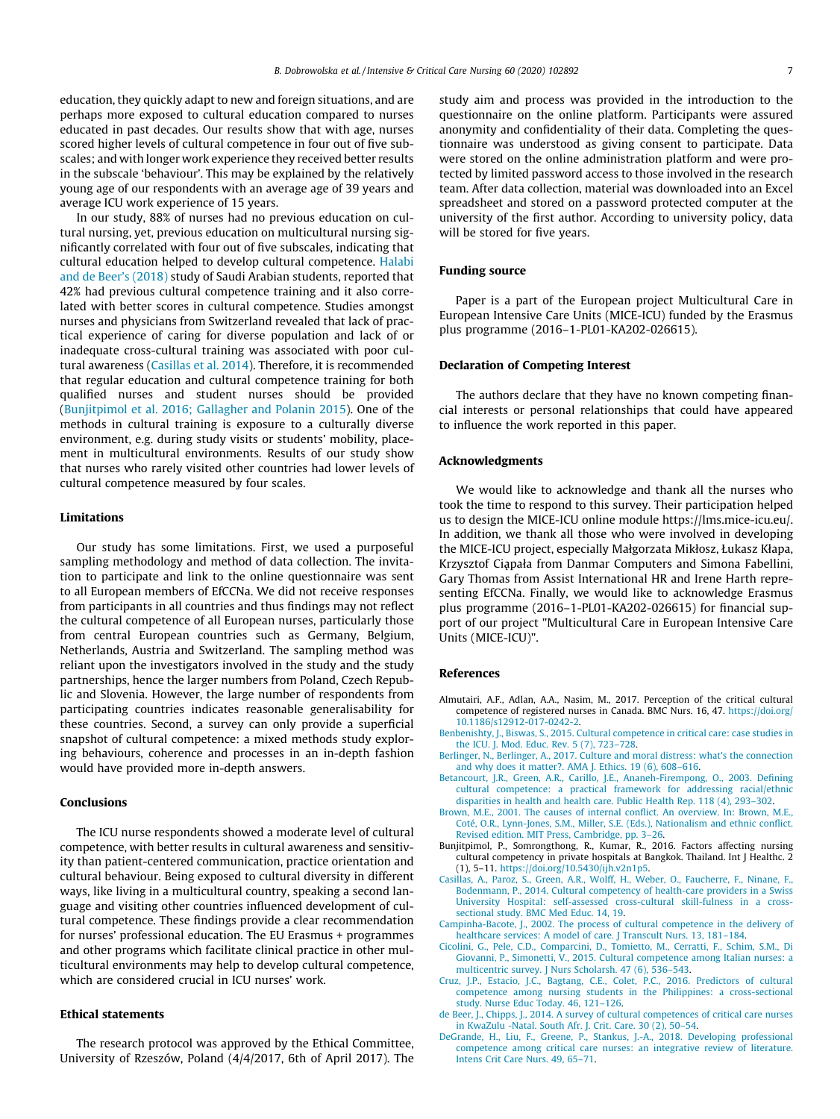<span id="page-6-0"></span>education, they quickly adapt to new and foreign situations, and are perhaps more exposed to cultural education compared to nurses educated in past decades. Our results show that with age, nurses scored higher levels of cultural competence in four out of five subscales; and with longer work experience they received better results in the subscale 'behaviour'. This may be explained by the relatively young age of our respondents with an average age of 39 years and average ICU work experience of 15 years.

In our study, 88% of nurses had no previous education on cultural nursing, yet, previous education on multicultural nursing significantly correlated with four out of five subscales, indicating that cultural education helped to develop cultural competence. [Halabi](#page-7-0) [and de Beer's \(2018\)](#page-7-0) study of Saudi Arabian students, reported that 42% had previous cultural competence training and it also correlated with better scores in cultural competence. Studies amongst nurses and physicians from Switzerland revealed that lack of practical experience of caring for diverse population and lack of or inadequate cross-cultural training was associated with poor cultural awareness (Casillas et al. 2014). Therefore, it is recommended that regular education and cultural competence training for both qualified nurses and student nurses should be provided (Bunjitpimol et al. 2016; Gallagher and Polanin 2015). One of the methods in cultural training is exposure to a culturally diverse environment, e.g. during study visits or students' mobility, placement in multicultural environments. Results of our study show that nurses who rarely visited other countries had lower levels of cultural competence measured by four scales.

## Limitations

Our study has some limitations. First, we used a purposeful sampling methodology and method of data collection. The invitation to participate and link to the online questionnaire was sent to all European members of EfCCNa. We did not receive responses from participants in all countries and thus findings may not reflect the cultural competence of all European nurses, particularly those from central European countries such as Germany, Belgium, Netherlands, Austria and Switzerland. The sampling method was reliant upon the investigators involved in the study and the study partnerships, hence the larger numbers from Poland, Czech Republic and Slovenia. However, the large number of respondents from participating countries indicates reasonable generalisability for these countries. Second, a survey can only provide a superficial snapshot of cultural competence: a mixed methods study exploring behaviours, coherence and processes in an in-depth fashion would have provided more in-depth answers.

# Conclusions

The ICU nurse respondents showed a moderate level of cultural competence, with better results in cultural awareness and sensitivity than patient-centered communication, practice orientation and cultural behaviour. Being exposed to cultural diversity in different ways, like living in a multicultural country, speaking a second language and visiting other countries influenced development of cultural competence. These findings provide a clear recommendation for nurses' professional education. The EU Erasmus + programmes and other programs which facilitate clinical practice in other multicultural environments may help to develop cultural competence, which are considered crucial in ICU nurses' work.

# Ethical statements

The research protocol was approved by the Ethical Committee, University of Rzeszów, Poland (4/4/2017, 6th of April 2017). The study aim and process was provided in the introduction to the questionnaire on the online platform. Participants were assured anonymity and confidentiality of their data. Completing the questionnaire was understood as giving consent to participate. Data were stored on the online administration platform and were protected by limited password access to those involved in the research team. After data collection, material was downloaded into an Excel spreadsheet and stored on a password protected computer at the university of the first author. According to university policy, data will be stored for five years.

#### Funding source

Paper is a part of the European project Multicultural Care in European Intensive Care Units (MICE-ICU) funded by the Erasmus plus programme (2016–1-PL01-KA202-026615).

# Declaration of Competing Interest

The authors declare that they have no known competing financial interests or personal relationships that could have appeared to influence the work reported in this paper.

# Acknowledgments

We would like to acknowledge and thank all the nurses who took the time to respond to this survey. Their participation helped us to design the MICE-ICU online module https://lms.mice-icu.eu/. In addition, we thank all those who were involved in developing the MICE-ICU project, especially Małgorzata Mikłosz, Łukasz Kłapa, Krzysztof Ciąpała from Danmar Computers and Simona Fabellini, Gary Thomas from Assist International HR and Irene Harth representing EfCCNa. Finally, we would like to acknowledge Erasmus plus programme (2016–1-PL01-KA202-026615) for financial support of our project "Multicultural Care in European Intensive Care Units (MICE-ICU)".

# References

- Almutairi, A.F., Adlan, A.A., Nasim, M., 2017. Perception of the critical cultural competence of registered nurses in Canada. BMC Nurs. 16, 47. [https://doi.org/](https://doi.org/10.1186/s12912-017-0242-2) [10.1186/s12912-017-0242-2.](https://doi.org/10.1186/s12912-017-0242-2)
- [Benbenishty, J., Biswas, S., 2015. Cultural competence in critical care: case studies in](http://refhub.elsevier.com/S0964-3397(20)30095-1/h0010) [the ICU. J. Mod. Educ. Rev. 5 \(7\), 723–728.](http://refhub.elsevier.com/S0964-3397(20)30095-1/h0010)
- [Berlinger, N., Berlinger, A., 2017. Culture and moral distress: what's the connection](http://refhub.elsevier.com/S0964-3397(20)30095-1/h0015) [and why does it matter?. AMA J. Ethics. 19 \(6\), 608–616](http://refhub.elsevier.com/S0964-3397(20)30095-1/h0015).
- [Betancourt, J.R., Green, A.R., Carillo, J.E., Ananeh-Firempong, O., 2003. Defining](http://refhub.elsevier.com/S0964-3397(20)30095-1/h0020) [cultural competence: a practical framework for addressing racial/ethnic](http://refhub.elsevier.com/S0964-3397(20)30095-1/h0020) [disparities in health and health care. Public Health Rep. 118 \(4\), 293–302.](http://refhub.elsevier.com/S0964-3397(20)30095-1/h0020)
- [Brown, M.E., 2001. The causes of internal conflict. An overview. In: Brown, M.E.,](http://refhub.elsevier.com/S0964-3397(20)30095-1/h0025) [Coté, O.R., Lynn-Jones, S.M., Miller, S.E. \(Eds.\), Nationalism and ethnic conflict.](http://refhub.elsevier.com/S0964-3397(20)30095-1/h0025) [Revised edition. MIT Press, Cambridge, pp. 3–26](http://refhub.elsevier.com/S0964-3397(20)30095-1/h0025).
- Bunjitpimol, P., Somrongthong, R., Kumar, R., 2016. Factors affecting nursing cultural competency in private hospitals at Bangkok. Thailand. Int J Healthc. 2 (1), 5–11. [https://doi.org/10.5430/ijh.v2n1p5.](https://doi.org/10.5430/ijh.v2n1p5)
- [Casillas, A., Paroz, S., Green, A.R., Wolff, H., Weber, O., Faucherre, F., Ninane, F.,](http://refhub.elsevier.com/S0964-3397(20)30095-1/h0035) [Bodenmann, P., 2014. Cultural competency of health-care providers in a Swiss](http://refhub.elsevier.com/S0964-3397(20)30095-1/h0035) [University Hospital: self-assessed cross-cultural skill-fulness in a cross](http://refhub.elsevier.com/S0964-3397(20)30095-1/h0035)[sectional study. BMC Med Educ. 14, 19](http://refhub.elsevier.com/S0964-3397(20)30095-1/h0035).
- [Campinha-Bacote, J., 2002. The process of cultural competence in the delivery of](http://refhub.elsevier.com/S0964-3397(20)30095-1/h0040) [healthcare services: A model of care. J Transcult Nurs. 13, 181–184](http://refhub.elsevier.com/S0964-3397(20)30095-1/h0040).
- [Cicolini, G., Pele, C.D., Comparcini, D., Tomietto, M., Cerratti, F., Schim, S.M., Di](http://refhub.elsevier.com/S0964-3397(20)30095-1/h0045) [Giovanni, P., Simonetti, V., 2015. Cultural competence among Italian nurses: a](http://refhub.elsevier.com/S0964-3397(20)30095-1/h0045) [multicentric survey. J Nurs Scholarsh. 47 \(6\), 536–543.](http://refhub.elsevier.com/S0964-3397(20)30095-1/h0045)
- [Cruz, J.P., Estacio, J.C., Bagtang, C.E., Colet, P.C., 2016. Predictors of cultural](http://refhub.elsevier.com/S0964-3397(20)30095-1/h0050) [competence among nursing students in the Philippines: a cross-sectional](http://refhub.elsevier.com/S0964-3397(20)30095-1/h0050) [study. Nurse Educ Today. 46, 121–126.](http://refhub.elsevier.com/S0964-3397(20)30095-1/h0050)
- [de Beer, J., Chipps, J., 2014. A survey of cultural competences of critical care nurses](http://refhub.elsevier.com/S0964-3397(20)30095-1/h0055) [in KwaZulu -Natal. South Afr. J. Crit. Care. 30 \(2\), 50–54.](http://refhub.elsevier.com/S0964-3397(20)30095-1/h0055)
- [DeGrande, H., Liu, F., Greene, P., Stankus, J.-A., 2018. Developing professional](http://refhub.elsevier.com/S0964-3397(20)30095-1/h0060) [competence among critical care nurses: an integrative review of literature.](http://refhub.elsevier.com/S0964-3397(20)30095-1/h0060) [Intens Crit Care Nurs. 49, 65–71.](http://refhub.elsevier.com/S0964-3397(20)30095-1/h0060)